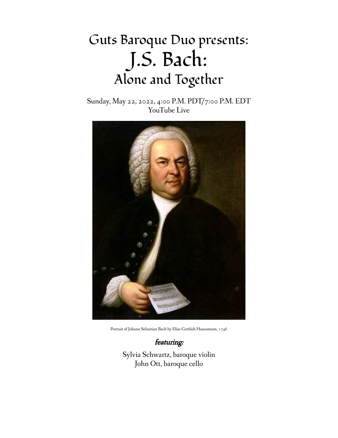# Guts Baroque Duo presents: J.S. Bach: Alone and Together

Sunday, May 22, 2022, 4:00 P.M. PDT/7:00 P.M. EDT YouTube Live



Portrait of Johann Sebastian Bach by Elias Gottlieb Haussmann, 1746

featuring:

Sylvia Schwartz, baroque violin John Ott, baroque cello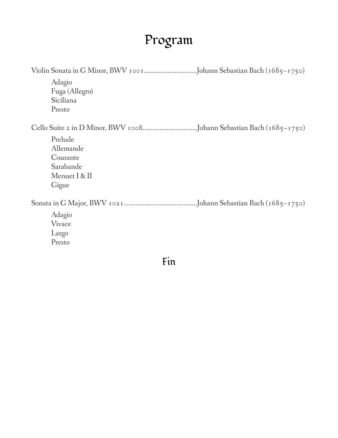## Program

| Adagio<br>Fuga (Allegro)<br>Siciliana<br>Presto                         |
|-------------------------------------------------------------------------|
|                                                                         |
| Prelude<br>Allemande<br>Courante<br>Sarabande<br>Menuet I & II<br>Gigue |
|                                                                         |
| Adagio<br>Vivace<br>Largo<br>Presto                                     |

Fin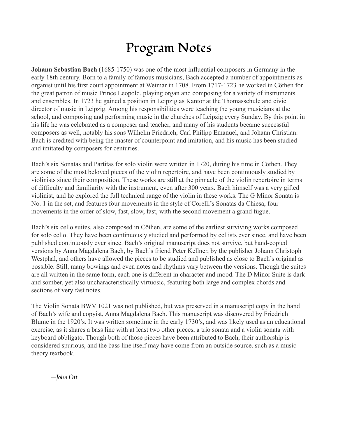### Program Notes

**Johann Sebastian Bach** (1685-1750) was one of the most influential composers in Germany in the early 18th century. Born to a family of famous musicians, Bach accepted a number of appointments as organist until his first court appointment at Weimar in 1708. From 1717-1723 he worked in Cöthen for the great patron of music Prince Leopold, playing organ and composing for a variety of instruments and ensembles. In 1723 he gained a position in Leipzig as Kantor at the Thomasschule and civic director of music in Leipzig. Among his responsibilities were teaching the young musicians at the school, and composing and performing music in the churches of Leipzig every Sunday. By this point in his life he was celebrated as a composer and teacher, and many of his students became successful composers as well, notably his sons Wilhelm Friedrich, Carl Philipp Emanuel, and Johann Christian. Bach is credited with being the master of counterpoint and imitation, and his music has been studied and imitated by composers for centuries.

Bach's six Sonatas and Partitas for solo violin were written in 1720, during his time in Cöthen. They are some of the most beloved pieces of the violin repertoire, and have been continuously studied by violinists since their composition. These works are still at the pinnacle of the violin repertoire in terms of difficulty and familiarity with the instrument, even after 300 years. Bach himself was a very gifted violinist, and he explored the full technical range of the violin in these works. The G Minor Sonata is No. 1 in the set, and features four movements in the style of Corelli's Sonatas da Chiesa, four movements in the order of slow, fast, slow, fast, with the second movement a grand fugue.

Bach's six cello suites, also composed in Cöthen, are some of the earliest surviving works composed for solo cello. They have been continuously studied and performed by cellists ever since, and have been published continuously ever since. Bach's original manuscript does not survive, but hand-copied versions by Anna Magdalena Bach, by Bach's friend Peter Kellner, by the publisher Johann Christoph Westphal, and others have allowed the pieces to be studied and published as close to Bach's original as possible. Still, many bowings and even notes and rhythms vary between the versions. Though the suites are all written in the same form, each one is different in character and mood. The D Minor Suite is dark and somber, yet also uncharacteristically virtuosic, featuring both large and complex chords and sections of very fast notes.

The Violin Sonata BWV 1021 was not published, but was preserved in a manuscript copy in the hand of Bach's wife and copyist, Anna Magdalena Bach. This manuscript was discovered by Friedrich Blume in the 1920's. It was written sometime in the early 1730's, and was likely used as an educational exercise, as it shares a bass line with at least two other pieces, a trio sonata and a violin sonata with keyboard obbligato. Though both of those pieces have been attributed to Bach, their authorship is considered spurious, and the bass line itself may have come from an outside source, such as a music theory textbook.

—*John Ott*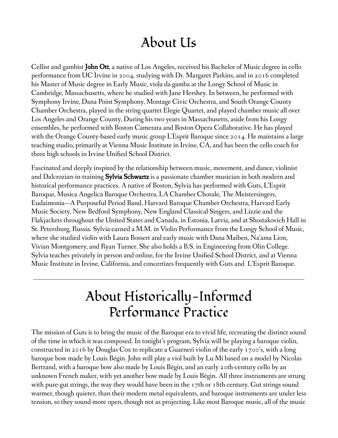#### About Us

Cellist and gambist John Ott, a native of Los Angeles, received his Bachelor of Music degree in cello performance from UC Irvine in 2004, studying with Dr. Margaret Parkins, and in 2016 completed his Master of Music degree in Early Music, viola da gamba at the Longy School of Music in Cambridge, Massachusetts, where he studied with Jane Hershey. In between, he performed with Symphony Irvine, Dana Point Symphony, Montage Civic Orchestra, and South Orange County Chamber Orchestra, played in the string quartet Elegie Quartet, and played chamber music all over Los Angeles and Orange County. During his two years in Massachusetts, aside from his Longy ensembles, he performed with Boston Camerata and Boston Opera Collaborative. He has played with the Orange County-based early music group L'Esprit Baroque since 2014. He maintains a large teaching studio, primarily at Vienna Music Institute in Irvine, CA, and has been the cello coach for three high schools in Irvine Unified School District.

Fascinated and deeply inspired by the relationship between music, movement, and dance, violinist and Dalcrozian-in-training **Sylvia Schwartz** is a passionate chamber musician in both modern and historical performance practices. A native of Boston, Sylvia has performed with Guts, L'Esprit Baroque, Musica Angelica Baroque Orchestra, LA Chamber Chorale, The Meistersingers, Eudaimonia—A Purposeful Period Band, Harvard Baroque Chamber Orchestra, Harvard Early Music Society, New Bedford Symphony, New England Classical Singers, and Lizzie and the Flakjackets throughout the United States and Canada, in Estonia, Latvia, and at Shostakovich Hall in St. Petersburg, Russia. Sylvia earned a M.M. in Violin Performance from the Longy School of Music, where she studied violin with Laura Bossert and early music with Dana Maiben, Na'ama Lion, Vivian Montgomery, and Ryan Turner. She also holds a B.S. in Engineering from Olin College. Sylvia teaches privately in person and online, for the Irvine Unified School District, and at Vienna Music Institute in Irvine, California, and concertizes frequently with Guts and L'Esprit Baroque.

### About Historically-Informed Performance Practice

The mission of Guts is to bring the music of the Baroque era to vivid life, recreating the distinct sound of the time in which it was composed. In tonight's program, Sylvia will be playing a baroque violin, constructed in 2016 by Douglas Cox to replicate a Guarneri violin of the early 1700's, with a long baroque bow made by Louis Bégin. John will play a viol built by Lu Mi based on a model by Nicolas Bertrand, with a baroque bow also made by Louis Bégin, and an early 20th-century cello by an unknown French maker, with yet another bow made by Louis Bégin. All three instruments are strung with pure-gut strings, the way they would have been in the 17th or 18th century. Gut strings sound warmer, though quieter, than their modern metal equivalents, and baroque instruments are under less tension, so they sound more open, though not as projecting. Like most Baroque music, all of the music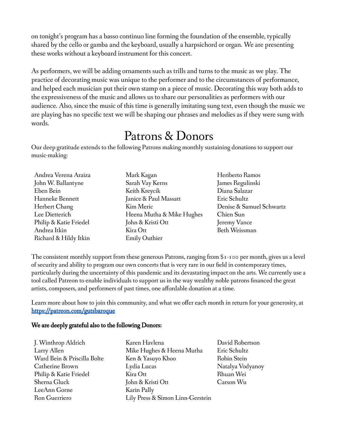on tonight's program has a basso continuo line forming the foundation of the ensemble, typically shared by the cello or gamba and the keyboard, usually a harpsichord or organ. We are presenting these works without a keyboard instrument for this concert.

As performers, we will be adding ornaments such as trills and turns to the music as we play. The practice of decorating music was unique to the performer and to the circumstances of performance, and helped each musician put their own stamp on a piece of music. Decorating this way both adds to the expressiveness of the music and allows us to share our personalities as performers with our audience. Also, since the music of this time is generally imitating sung text, even though the music we are playing has no specific text we will be shaping our phrases and melodies as if they were sung with words.

#### Patrons & Donors

Our deep gratitude extends to the following Patrons making monthly sustaining donations to support our music-making:

| Andrea Verena Araiza   | Mark Kagan                | Heriberto Ramos          |
|------------------------|---------------------------|--------------------------|
| John W. Ballantyne     | Sarah Vay Kerns           | James Regulinski         |
| Eben Bein              | Keith Kreycik             | Diana Salazar            |
| Hanneke Bennett        | Janice & Paul Massatt     | Eric Schultz             |
| Herbert Chang          | Kim Meric                 | Denise & Samuel Schwartz |
| Lee Dietterich         | Heena Mutha & Mike Hughes | Chien Sun                |
| Philip & Katie Friedel | John & Kristi Ott         | Jeremy Vance             |
| Andrea Itkin           | Kira Ott                  | Beth Weissman            |
| Richard & Hildy Itkin  | <b>Emily Outhier</b>      |                          |

The consistent monthly support from these generous Patrons, ranging from \$1-100 per month, gives us a level of security and ability to program our own concerts that is very rare in our field in contemporary times, particularly during the uncertainty of this pandemic and its devastating impact on the arts. We currently use a tool called Patreon to enable individuals to support us in the way wealthy noble patrons financed the great artists, composers, and performers of past times, one affordable donation at a time.

Learn more about how to join this community, and what we offer each month in return for your generosity, at <https://patreon.com/gutsbaroque>

#### We are deeply grateful also to the following Donors:

J. Winthrop Aldrich Larry Allen Ward Bein & Priscilla Bolte Catherine Brown Philip & Katie Friedel Sherna Gluck LeeAnn Gorne Ron Guerriero

Karen Havlena Mike Hughes & Heena Mutha Ken & Yasuyo Khoo Lydia Lucas Kira Ott John & Kristi Ott Karin Pally Lily Press & Simon Linn-Gerstein David Robertson Eric Schultz Robin Stein Natalya Vodyanoy Rhuan Wei Carson Wu